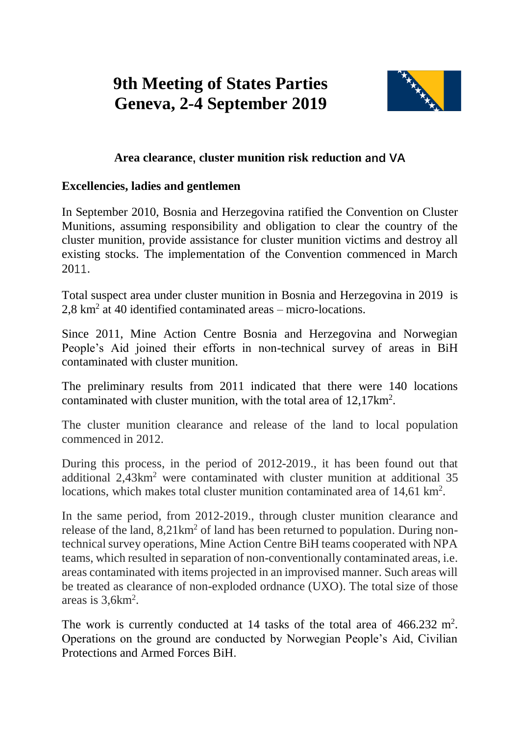## **9th Meeting of States Parties Geneva, 2-4 September 2019**



## **Area clearance, cluster munition risk reduction and VA**

## **Excellencies, ladies and gentlemen**

In September 2010, Bosnia and Herzegovina ratified the Convention on Cluster Munitions, assuming responsibility and obligation to clear the country of the cluster munition, provide assistance for cluster munition victims and destroy all existing stocks. The implementation of the Convention commenced in March 2011.

Total suspect area under cluster munition in Bosnia and Herzegovina in 2019 is 2,8 km<sup>2</sup> at 40 identified contaminated areas – micro-locations.

Since 2011, Mine Action Centre Bosnia and Herzegovina and Norwegian People's Aid joined their efforts in non-technical survey of areas in BiH contaminated with cluster munition.

The preliminary results from 2011 indicated that there were 140 locations contaminated with cluster munition, with the total area of 12,17km<sup>2</sup>.

The cluster munition clearance and release of the land to local population commenced in 2012.

During this process, in the period of 2012-2019., it has been found out that additional 2,43km<sup>2</sup> were contaminated with cluster munition at additional 35 locations, which makes total cluster munition contaminated area of 14,61 km<sup>2</sup>.

In the same period, from 2012-2019., through cluster munition clearance and release of the land,  $8.21 \text{km}^2$  of land has been returned to population. During nontechnical survey operations, Mine Action Centre BiH teams cooperated with NPA teams, which resulted in separation of non-conventionally contaminated areas, i.e. areas contaminated with items projected in an improvised manner. Such areas will be treated as clearance of non-exploded ordnance (UXO). The total size of those areas is  $3,6km^2$ .

The work is currently conducted at 14 tasks of the total area of  $466.232 \text{ m}^2$ . Operations on the ground are conducted by Norwegian People's Aid, Civilian Protections and Armed Forces BiH.